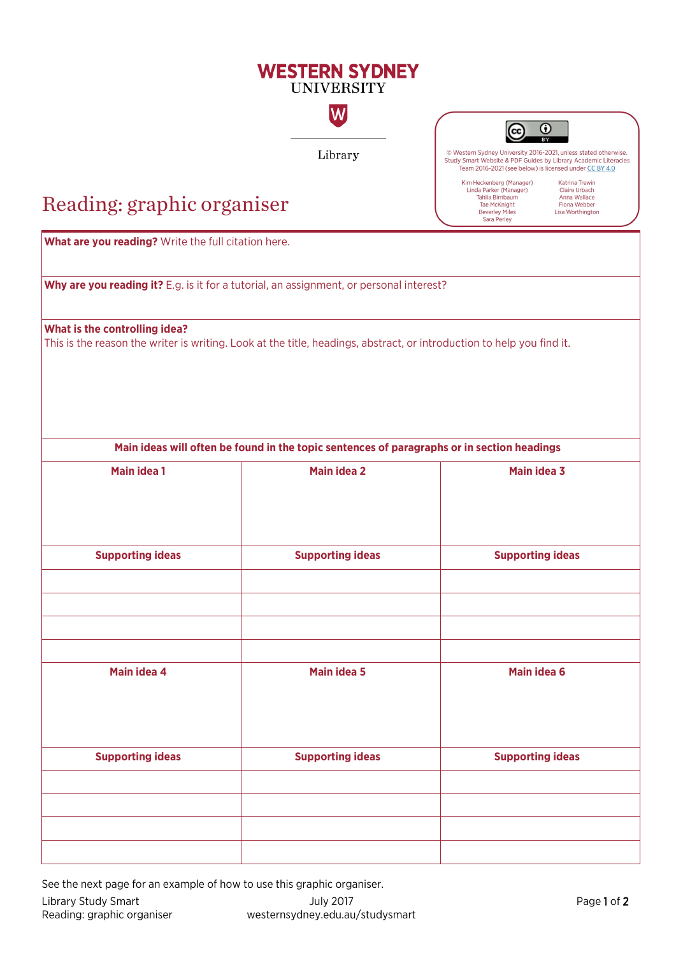### **WESTERN SYDNEY UNIVERSITY**

Library

 $|\mathsf{W}|$ 

 $^{\circ}$ <sub>cc</sub>

© Western Sydney University 2016-2021, unless stated otherwise.<br>Study Smart Website & PDF Guides by Library Academic Literacies Team 2016-2021 (see below) is licensed under CC BY 4.0

Kim Heckenberg (Manager) Linda Parker (Manager)<br>Tahlia Birnbaum<br>Tae McKnight Beverley Miles<br>Sara Perley

Katrina Trewin Claire Urbach Anna Wallace<br>Fiona Webber Lisa Worthington

## Reading: graphic organiser

**What are you reading?** Write the full citation here. **Why are you reading it?** E.g. is it for a tutorial, an assignment, or personal interest? **What is the controlling idea?**  This is the reason the writer is writing. Look at the title, headings, abstract, or introduction to help you find it. **Main ideas will often be found in the topic sentences of paragraphs or in section headings Main idea 1 Main idea 2 Main idea 3 Supporting ideas Supporting ideas Supporting ideas Main idea 4 Main idea 5 Main idea 6 Supporting ideas Supporting ideas Supporting ideas**